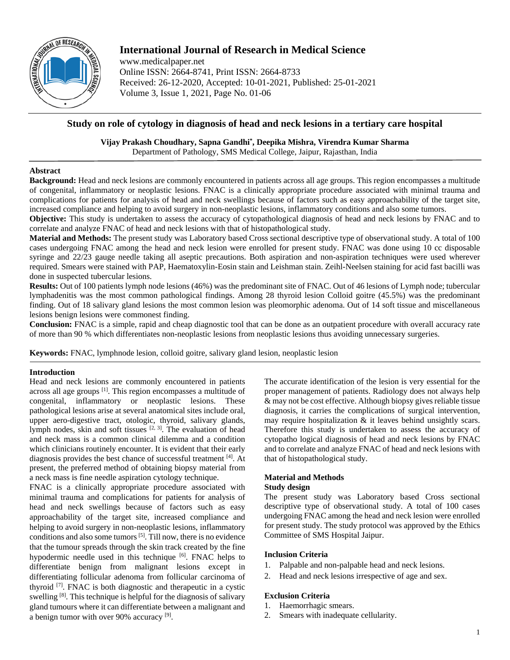

# **International Journal of Research in Medical Science**

www.medicalpaper.net Online ISSN: 2664-8741, Print ISSN: 2664-8733 Received: 26-12-2020, Accepted: 10-01-2021, Published: 25-01-2021 Volume 3, Issue 1, 2021, Page No. 01-06

## **Study on role of cytology in diagnosis of head and neck lesions in a tertiary care hospital**

**Vijay Prakash Choudhary, Sapna Gandhi\* , Deepika Mishra, Virendra Kumar Sharma**

Department of Pathology, SMS Medical College, Jaipur, Rajasthan, India

### **Abstract**

**Background:** Head and neck lesions are commonly encountered in patients across all age groups. This region encompasses a multitude of congenital, inflammatory or neoplastic lesions. FNAC is a clinically appropriate procedure associated with minimal trauma and complications for patients for analysis of head and neck swellings because of factors such as easy approachability of the target site, increased compliance and helping to avoid surgery in non-neoplastic lesions, inflammatory conditions and also some tumors.

**Objective:** This study is undertaken to assess the accuracy of cytopathological diagnosis of head and neck lesions by FNAC and to correlate and analyze FNAC of head and neck lesions with that of histopathological study.

**Material and Methods:** The present study was Laboratory based Cross sectional descriptive type of observational study. A total of 100 cases undergoing FNAC among the head and neck lesion were enrolled for present study. FNAC was done using 10 cc disposable syringe and 22/23 gauge needle taking all aseptic precautions. Both aspiration and non-aspiration techniques were used wherever required. Smears were stained with PAP, Haematoxylin-Eosin stain and Leishman stain. Zeihl-Neelsen staining for acid fast bacilli was done in suspected tubercular lesions.

**Results:** Out of 100 patients lymph node lesions (46%) was the predominant site of FNAC. Out of 46 lesions of Lymph node; tubercular lymphadenitis was the most common pathological findings. Among 28 thyroid lesion Colloid goitre (45.5%) was the predominant finding. Out of 18 salivary gland lesions the most common lesion was pleomorphic adenoma. Out of 14 soft tissue and miscellaneous lesions benign lesions were commonest finding.

**Conclusion:** FNAC is a simple, rapid and cheap diagnostic tool that can be done as an outpatient procedure with overall accuracy rate of more than 90 % which differentiates non-neoplastic lesions from neoplastic lesions thus avoiding unnecessary surgeries.

**Keywords:** FNAC, lymphnode lesion, colloid goitre, salivary gland lesion, neoplastic lesion

### **Introduction**

Head and neck lesions are commonly encountered in patients across all age groups [1]. This region encompasses a multitude of congenital, inflammatory or neoplastic lesions. These pathological lesions arise at several anatomical sites include oral, upper aero-digestive tract, otologic, thyroid, salivary glands, lymph nodes, skin and soft tissues  $[2, 3]$ . The evaluation of head and neck mass is a common clinical dilemma and a condition which clinicians routinely encounter. It is evident that their early diagnosis provides the best chance of successful treatment [4]. At present, the preferred method of obtaining biopsy material from a neck mass is fine needle aspiration cytology technique.

FNAC is a clinically appropriate procedure associated with minimal trauma and complications for patients for analysis of head and neck swellings because of factors such as easy approachability of the target site, increased compliance and helping to avoid surgery in non-neoplastic lesions, inflammatory conditions and also some tumors  $[5]$ . Till now, there is no evidence that the tumour spreads through the skin track created by the fine hypodermic needle used in this technique [6]. FNAC helps to differentiate benign from malignant lesions except in differentiating follicular adenoma from follicular carcinoma of thyroid [7] . FNAC is both diagnostic and therapeutic in a cystic swelling <sup>[8]</sup>. This technique is helpful for the diagnosis of salivary gland tumours where it can differentiate between a malignant and a benign tumor with over 90% accuracy [9].

The accurate identification of the lesion is very essential for the proper management of patients. Radiology does not always help & may not be cost effective. Although biopsy gives reliable tissue diagnosis, it carries the complications of surgical intervention, may require hospitalization  $\&$  it leaves behind unsightly scars. Therefore this study is undertaken to assess the accuracy of cytopatho logical diagnosis of head and neck lesions by FNAC and to correlate and analyze FNAC of head and neck lesions with that of histopathological study.

## **Material and Methods**

### **Study design**

The present study was Laboratory based Cross sectional descriptive type of observational study. A total of 100 cases undergoing FNAC among the head and neck lesion were enrolled for present study. The study protocol was approved by the Ethics Committee of SMS Hospital Jaipur.

### **Inclusion Criteria**

- 1. Palpable and non-palpable head and neck lesions.
- 2. Head and neck lesions irrespective of age and sex.

## **Exclusion Criteria**

- 1. Haemorrhagic smears.
- 2. Smears with inadequate cellularity.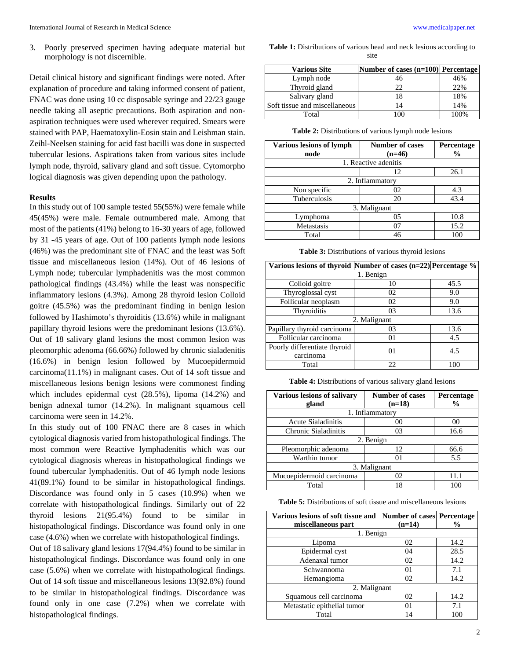3. Poorly preserved specimen having adequate material but morphology is not discernible.

Detail clinical history and significant findings were noted. After explanation of procedure and taking informed consent of patient, FNAC was done using 10 cc disposable syringe and 22/23 gauge needle taking all aseptic precautions. Both aspiration and nonaspiration techniques were used wherever required. Smears were stained with PAP, Haematoxylin-Eosin stain and Leishman stain. Zeihl-Neelsen staining for acid fast bacilli was done in suspected tubercular lesions. Aspirations taken from various sites include lymph node, thyroid, salivary gland and soft tissue. Cytomorpho logical diagnosis was given depending upon the pathology.

#### **Results**

In this study out of 100 sample tested 55(55%) were female while 45(45%) were male. Female outnumbered male. Among that most of the patients (41%) belong to 16-30 years of age, followed by 31 -45 years of age. Out of 100 patients lymph node lesions (46%) was the predominant site of FNAC and the least was Soft tissue and miscellaneous lesion (14%). Out of 46 lesions of Lymph node; tubercular lymphadenitis was the most common pathological findings (43.4%) while the least was nonspecific inflammatory lesions (4.3%). Among 28 thyroid lesion Colloid goitre (45.5%) was the predominant finding in benign lesion followed by Hashimoto's thyroiditis (13.6%) while in malignant papillary thyroid lesions were the predominant lesions (13.6%). Out of 18 salivary gland lesions the most common lesion was pleomorphic adenoma (66.66%) followed by chronic sialadenitis (16.6%) in benign lesion followed by Mucoepidermoid carcinoma(11.1%) in malignant cases. Out of 14 soft tissue and miscellaneous lesions benign lesions were commonest finding which includes epidermal cyst (28.5%), lipoma (14.2%) and benign adnexal tumor (14.2%). In malignant squamous cell carcinoma were seen in 14.2%.

In this study out of 100 FNAC there are 8 cases in which cytological diagnosis varied from histopathological findings. The most common were Reactive lymphadenitis which was our cytological diagnosis whereas in histopathological findings we found tubercular lymphadenitis. Out of 46 lymph node lesions 41(89.1%) found to be similar in histopathological findings. Discordance was found only in 5 cases (10.9%) when we correlate with histopathological findings. Similarly out of 22 thyroid lesions 21(95.4%) found to be similar in histopathological findings. Discordance was found only in one case (4.6%) when we correlate with histopathological findings.

Out of 18 salivary gland lesions 17(94.4%) found to be similar in histopathological findings. Discordance was found only in one case (5.6%) when we correlate with histopathological findings. Out of 14 soft tissue and miscellaneous lesions 13(92.8%) found to be similar in histopathological findings. Discordance was found only in one case (7.2%) when we correlate with histopathological findings.

**Table 1:** Distributions of various head and neck lesions according to site

| <b>Various Site</b>           | Number of cases (n=100) Percentage |      |
|-------------------------------|------------------------------------|------|
| Lymph node                    | 46                                 | 46%  |
| Thyroid gland                 | 22                                 | 22%  |
| Salivary gland                | 18                                 | 18%  |
| Soft tissue and miscellaneous | 14                                 | 14%  |
| Total                         |                                    | 100% |

**Table 2:** Distributions of various lymph node lesions

| <b>Various lesions of lymph</b><br>node | <b>Number of cases</b><br>$(n=46)$ | Percentage<br>$\frac{6}{9}$ |
|-----------------------------------------|------------------------------------|-----------------------------|
|                                         |                                    |                             |
|                                         | 1. Reactive adenitis               |                             |
|                                         | 12                                 | 26.1                        |
| 2. Inflammatory                         |                                    |                             |
| Non specific                            | 02                                 | 4.3                         |
| Tuberculosis                            | 20                                 | 43.4                        |
| 3. Malignant                            |                                    |                             |
| Lymphoma                                | 05                                 | 10.8                        |
| Metastasis                              | 07                                 | 15.2                        |
| Total                                   | 46                                 | 100                         |

**Table 3:** Distributions of various thyroid lesions

| Various lesions of thyroid Number of cases $(n=22)$ Percentage % |    |      |
|------------------------------------------------------------------|----|------|
| 1. Benign                                                        |    |      |
| Colloid goitre                                                   | 10 | 45.5 |
| Thyroglossal cyst                                                | 02 | 9.0  |
| Follicular neoplasm                                              | 02 | 9.0  |
| Thyroiditis                                                      | 03 | 13.6 |
| 2. Malignant                                                     |    |      |
| Papillary thyroid carcinoma                                      | 03 | 13.6 |
| Follicular carcinoma                                             | 01 | 4.5  |
| Poorly differentiate thyroid                                     | 01 | 4.5  |
| carcinoma                                                        |    |      |
| Total                                                            | 22 | 100  |

**Table 4:** Distributions of various salivary gland lesions

| <b>Various lesions of salivary</b> | <b>Number of cases</b> | Percentage    |  |
|------------------------------------|------------------------|---------------|--|
| gland                              | $(n=18)$               | $\frac{6}{9}$ |  |
|                                    | 1. Inflammatory        |               |  |
| <b>Acute Sialadinitis</b>          | 0 <sup>0</sup>         | 00            |  |
| Chronic Sialadinitis               | 03                     | 16.6          |  |
| 2. Benign                          |                        |               |  |
| Pleomorphic adenoma                | 12                     | 66.6          |  |
| Warthin tumor                      | $^{01}$                | 5.5           |  |
| 3. Malignant                       |                        |               |  |
| Mucoepidermoid carcinoma           | 02                     | 11.1          |  |
| Total                              | 18                     |               |  |

| <b>Table 5:</b> Distributions of soft tissue and miscellaneous lesions |
|------------------------------------------------------------------------|
|------------------------------------------------------------------------|

| Various lesions of soft tissue and | Number of cases Percentage |               |
|------------------------------------|----------------------------|---------------|
| miscellaneous part                 | $(n=14)$                   | $\frac{6}{9}$ |
| 1. Benign                          |                            |               |
| Lipoma                             | 02                         | 14.2          |
| Epidermal cyst                     | 04                         | 28.5          |
| Adenaxal tumor                     | 02                         | 14.2          |
| Schwannoma                         | 01                         | 7.1           |
| Hemangioma                         | 02                         | 14.2          |
| 2. Malignant                       |                            |               |
| Squamous cell carcinoma            | 02                         | 14.2          |
| Metastatic epithelial tumor        | 01                         | 7.1           |
| Total                              | 14                         | 100           |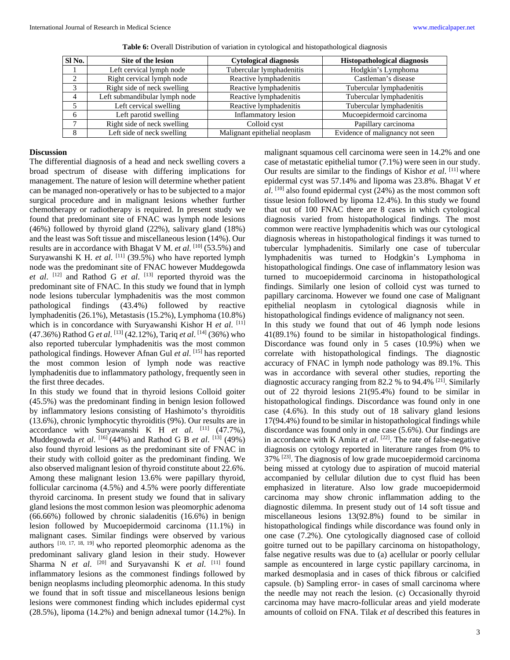| Sl No. | Site of the lesion            | <b>Cytological diagnosis</b>  | <b>Histopathological diagnosis</b> |
|--------|-------------------------------|-------------------------------|------------------------------------|
|        | Left cervical lymph node      | Tubercular lymphadenitis      | Hodgkin's Lymphoma                 |
|        | Right cervical lymph node     | Reactive lymphadenitis        | Castleman's disease                |
|        | Right side of neck swelling   | Reactive lymphadenitis        | Tubercular lymphadenitis           |
|        | Left submandibular lymph node | Reactive lymphadenitis        | Tubercular lymphadenitis           |
|        | Left cervical swelling        | Reactive lymphadenitis        | Tubercular lymphadenitis           |
|        | Left parotid swelling         | Inflammatory lesion           | Mucoepidermoid carcinoma           |
|        | Right side of neck swelling   | Colloid cyst                  | Papillary carcinoma                |
|        | Left side of neck swelling    | Malignant epithelial neoplasm | Evidence of malignancy not seen    |

**Table 6:** Overall Distribution of variation in cytological and histopathological diagnosis

#### **Discussion**

The differential diagnosis of a head and neck swelling covers a broad spectrum of disease with differing implications for management. The nature of lesion will determine whether patient can be managed non-operatively or has to be subjected to a major surgical procedure and in malignant lesions whether further chemotherapy or radiotherapy is required. In present study we found that predominant site of FNAC was lymph node lesions (46%) followed by thyroid gland (22%), salivary gland (18%) and the least was Soft tissue and miscellaneous lesion (14%). Our results are in accordance with Bhagat V M. *et al.* <sup>[10]</sup> (53.5%) and Suryawanshi K H. *et al.* <sup>[11]</sup> (39.5%) who have reported lymph node was the predominant site of FNAC however Muddegowda *et al*. [12] and Rathod G *et al*. [13] reported thyroid was the predominant site of FNAC. In this study we found that in lymph node lesions tubercular lymphadenitis was the most common pathological findings (43.4%) followed by reactive lymphadenitis (26.1%), Metastasis (15.2%), Lymphoma (10.8%) which is in concordance with Suryawanshi Kishor H et al. [11] (47.36%) Rathod G *et al*. [13] (42.12%), Tariq *et al*. [14] (36%) who also reported tubercular lymphadenitis was the most common pathological findings. However Afnan Gul *et al*. [15] has reported the most common lesion of lymph node was reactive lymphadenitis due to inflammatory pathology, frequently seen in the first three decades.

In this study we found that in thyroid lesions Colloid goiter (45.5%) was the predominant finding in benign lesion followed by inflammatory lesions consisting of Hashimoto's thyroiditis (13.6%), chronic lymphocytic thyroiditis (9%). Our results are in accordance with Suryawanshi K H *et al.* [11] (47.7%), Muddegowda *et al*. [16] (44%) and Rathod G B *et al*. [13] (49%) also found thyroid lesions as the predominant site of FNAC in their study with colloid goiter as the predominant finding. We also observed malignant lesion of thyroid constitute about 22.6%. Among these malignant lesion 13.6% were papillary thyroid, follicular carcinoma (4.5%) and 4.5% were poorly differentiate thyroid carcinoma. In present study we found that in salivary gland lesions the most common lesion was pleomorphic adenoma (66.66%) followed by chronic sialadenitis (16.6%) in benign lesion followed by Mucoepidermoid carcinoma (11.1%) in malignant cases. Similar findings were observed by various authors [10, 17, 18, 19] who reported pleomorphic adenoma as the predominant salivary gland lesion in their study. However Sharma N *et al.* <sup>[20]</sup> and Suryavanshi K *et al.* <sup>[11]</sup> found inflammatory lesions as the commonest findings followed by benign neoplasms including pleomorphic adenoma. In this study we found that in soft tissue and miscellaneous lesions benign lesions were commonest finding which includes epidermal cyst (28.5%), lipoma (14.2%) and benign adnexal tumor (14.2%). In

malignant squamous cell carcinoma were seen in 14.2% and one case of metastatic epithelial tumor (7.1%) were seen in our study. Our results are similar to the findings of Kishor *et al*. [11] where epidermal cyst was 57.14% and lipoma was 23.8%. Bhagat V *et al*. [10] also found epidermal cyst (24%) as the most common soft tissue lesion followed by lipoma 12.4%). In this study we found that out of 100 FNAC there are 8 cases in which cytological diagnosis varied from histopathological findings. The most common were reactive lymphadenitis which was our cytological diagnosis whereas in histopathological findings it was turned to tubercular lymphadenitis. Similarly one case of tubercular lymphadenitis was turned to Hodgkin's Lymphoma in histopathological findings. One case of inflammatory lesion was turned to mucoepidermoid carcinoma in histopathological findings. Similarly one lesion of colloid cyst was turned to papillary carcinoma. However we found one case of Malignant epithelial neoplasm in cytological diagnosis while in histopathological findings evidence of malignancy not seen.

In this study we found that out of 46 lymph node lesions 41(89.1%) found to be similar in histopathological findings. Discordance was found only in 5 cases (10.9%) when we correlate with histopathological findings. The diagnostic accuracy of FNAC in lymph node pathology was 89.1%. This was in accordance with several other studies, reporting the diagnostic accuracy ranging from 82.2 % to 94.4% [21] . Similarly out of 22 thyroid lesions 21(95.4%) found to be similar in histopathological findings. Discordance was found only in one case (4.6%). In this study out of 18 salivary gland lesions 17(94.4%) found to be similar in histopathological findings while discordance was found only in one case (5.6%). Our findings are in accordance with K Amita *et al*. <sup>[22]</sup>. The rate of false-negative diagnosis on cytology reported in literature ranges from 0% to 37%<sup>[23]</sup>. The diagnosis of low grade mucoepidermoid carcinoma being missed at cytology due to aspiration of mucoid material accompanied by cellular dilution due to cyst fluid has been emphasized in literature. Also low grade mucoepidermoid carcinoma may show chronic inflammation adding to the diagnostic dilemma. In present study out of 14 soft tissue and miscellaneous lesions 13(92.8%) found to be similar in histopathological findings while discordance was found only in one case (7.2%). One cytologically diagnosed case of colloid goitre turned out to be papillary carcinoma on histopathology, false negative results was due to (a) acellular or poorly cellular sample as encountered in large cystic papillary carcinoma, in marked desmoplasia and in cases of thick fibrous or calcified capsule. (b) Sampling error- in cases of small carcinoma where the needle may not reach the lesion. (c) Occasionally thyroid carcinoma may have macro-follicular areas and yield moderate amounts of colloid on FNA. Tilak *et al* described this features in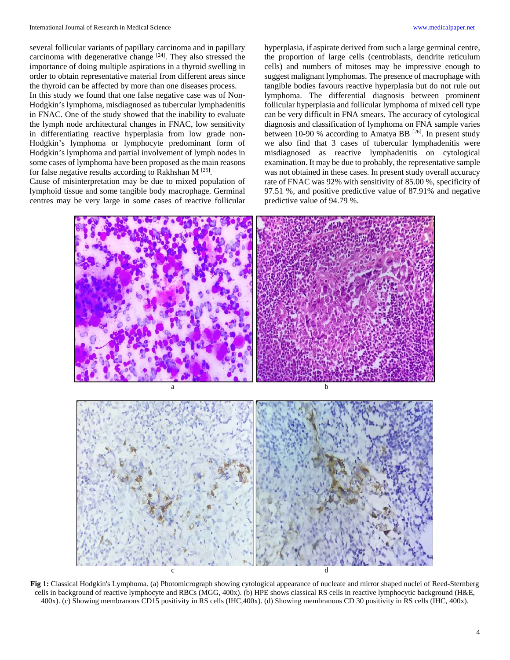several follicular variants of papillary carcinoma and in papillary carcinoma with degenerative change <sup>[24]</sup>. They also stressed the importance of doing multiple aspirations in a thyroid swelling in order to obtain representative material from different areas since the thyroid can be affected by more than one diseases process.

In this study we found that one false negative case was of Non-Hodgkin's lymphoma, misdiagnosed as tubercular lymphadenitis in FNAC. One of the study showed that the inability to evaluate the lymph node architectural changes in FNAC, low sensitivity in differentiating reactive hyperplasia from low grade non-Hodgkin's lymphoma or lymphocyte predominant form of Hodgkin's lymphoma and partial involvement of lymph nodes in some cases of lymphoma have been proposed as the main reasons for false negative results according to Rakhshan M<sup>[25]</sup>.

Cause of misinterpretation may be due to mixed population of lymphoid tissue and some tangible body macrophage. Germinal centres may be very large in some cases of reactive follicular hyperplasia, if aspirate derived from such a large germinal centre, the proportion of large cells (centroblasts, dendrite reticulum cells) and numbers of mitoses may be impressive enough to suggest malignant lymphomas. The presence of macrophage with tangible bodies favours reactive hyperplasia but do not rule out lymphoma. The differential diagnosis between prominent follicular hyperplasia and follicular lymphoma of mixed cell type can be very difficult in FNA smears. The accuracy of cytological diagnosis and classification of lymphoma on FNA sample varies between 10-90 % according to Amatya BB  $^{[26]}$ . In present study we also find that 3 cases of tubercular lymphadenitis were misdiagnosed as reactive lymphadenitis on cytological examination. It may be due to probably, the representative sample was not obtained in these cases. In present study overall accuracy rate of FNAC was 92% with sensitivity of 85.00 %, specificity of 97.51 %, and positive predictive value of 87.91% and negative predictive value of 94.79 %.



**Fig 1:** Classical Hodgkin's Lymphoma. (a) Photomicrograph showing cytological appearance of nucleate and mirror shaped nuclei of Reed-Sternberg cells in background of reactive lymphocyte and RBCs (MGG, 400x). (b) HPE shows classical RS cells in reactive lymphocytic background (H&E, 400x). (c) Showing membranous CD15 positivity in RS cells (IHC,400x). (d) Showing membranous CD 30 positivity in RS cells (IHC, 400x).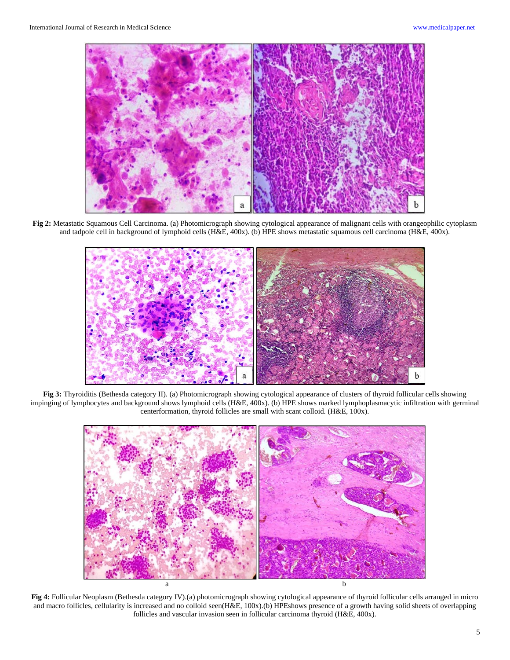

**Fig 2:** Metastatic Squamous Cell Carcinoma. (a) Photomicrograph showing cytological appearance of malignant cells with orangeophilic cytoplasm and tadpole cell in background of lymphoid cells (H&E, 400x). (b) HPE shows metastatic squamous cell carcinoma (H&E, 400x).



**Fig 3:** Thyroiditis (Bethesda category II). (a) Photomicrograph showing cytological appearance of clusters of thyroid follicular cells showing impinging of lymphocytes and background shows lymphoid cells (H&E, 400x). (b) HPE shows marked lymphoplasmacytic infiltration with germinal centerformation, thyroid follicles are small with scant colloid. (H&E, 100x).



**Fig 4:** Follicular Neoplasm (Bethesda category IV).(a) photomicrograph showing cytological appearance of thyroid follicular cells arranged in micro and macro follicles, cellularity is increased and no colloid seen(H&E, 100x).(b) HPEshows presence of a growth having solid sheets of overlapping follicles and vascular invasion seen in follicular carcinoma thyroid (H&E, 400x).